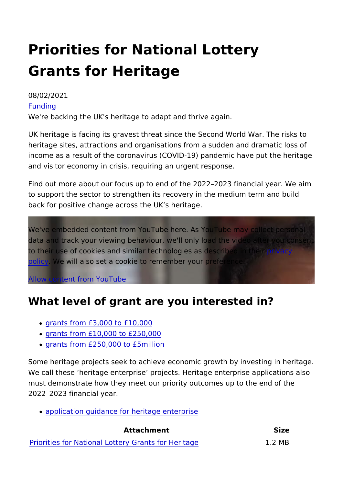## Priorities for National Lottery Grants for Heritage

## 08/02/2021 [Fundi](https://www.heritagefund.org.uk/funding)ng We're backing the UK's heritage to adapt and thrive again.

UK heritage is facing its gravest threat since the Second World heritage sites, attractions and organisations from a sudden and income as a result of the coronavirus (COVID-19) pandemic hav and visitor economy in crisis, requiring an urgent response.

Find out more about our focus up to end of the 2022 2023 finan to support the sector to strengthen its recovery in the medium t back for positive change across the UK s heritage.

We've embedded content from YouTube here. As YouTube may c data and track your viewing behaviour, we'll only load the vided to their use of cookies and similar technologies [as de](https://www.youtube.com/t/privacy)en sycribed in [poli](https://www.youtube.com/t/privacy)cy We will also set a cookie to remember your preference.

[Allow content from Y](https://www.heritagefund.org.uk/show-content/eyJ0eXBlIjoieXRiZSIsImlkIjoialZMTjFPTk8yV1UiLCJwYXJzZWRfdXJsIjp7InBhdGgiOiJodHRwczpcL1wveW91dHUuYmVcL2pWTE4xT05PMldVIiwicXVlcnkiOltdLCJmcmFnbWVudCI6IiJ9LCJ0aXRsZSI6IlJlZm9jdXNlZCBwcmlvcml0aWVzIGZvciBOYXRpb25hbCBMb3R0ZXJ5IEdyYW50cyBmb3IgSGVyaXRhZ2UiLCJkZWZfc2V0dCI6eyJ2aWRlb19zaXplIjoiZml4ZWQiLCJ2aWRlb193aWR0aCI6IjEwMCUiLCJ2aWRlb19oZWlnaHQiOiI0ODBweCIsImltYWdlX3dpZHRoIjozMDAsImltYWdlX2hlaWdodCI6bnVsbH0sIm5pZCI6IjExMDkyOCIsImNpZCI6InZhbHVlczpwYXJhZ3JhcGg6MzI5NiIsImNvbnNlbnQiOjF9/ajax)ouTube

## What level of grant are you interested in?

- [grants from £3,000 to](https://www.heritagefund.org.uk/funding/national-lottery-grants-heritage-3000-10000) £10,000
- [grants from £10,000 to](https://www.heritagefund.org.uk/funding/national-lottery-grants-heritage-10000-250000) £250,000
- [grants from £250,000 to](https://www.heritagefund.org.uk/funding/national-lottery-grants-heritage-250000-5m) £5million

Some heritage projects seek to achieve economic growth by inv We call these heritage enterprise projects. Heritage enterpris must demonstrate how they meet our priority outcomes up to the 2022 2023 financial year.

[application guidance for herita](https://www.heritagefund.org.uk/node/107906/)ge enterprise

Attachment Size [Priorities for National Lottery Gra](https://www.heritagefund.org.uk/sites/default/files/media/attachments/2022 amend Priorities for National Lottery Grants for Heritage 2021-22_4.pdf)nts for Heritage2 MB